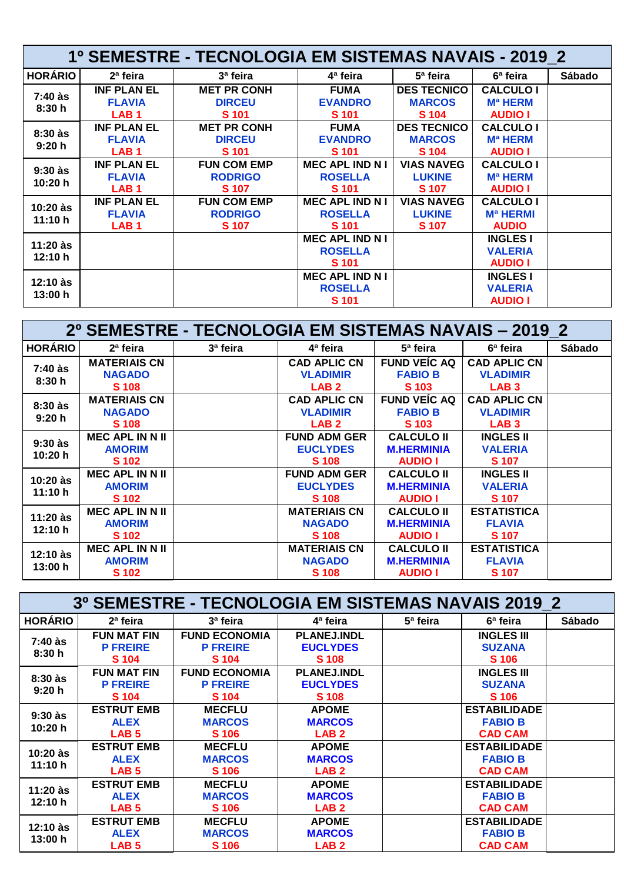| <b>1º SEMESTRE - TECNOLOGIA EM SISTEMAS NAVAIS - 2019 2</b> |                                                         |                                                      |                                                          |                                              |                                                                 |        |  |
|-------------------------------------------------------------|---------------------------------------------------------|------------------------------------------------------|----------------------------------------------------------|----------------------------------------------|-----------------------------------------------------------------|--------|--|
| <b>HORÁRIO</b>                                              | 2 <sup>a</sup> feira                                    | 3ª feira                                             | 4ª feira                                                 | 5 <sup>a</sup> feira                         | 6 <sup>a</sup> feira                                            | Sábado |  |
| $7:40$ às<br>8:30h                                          | <b>INF PLAN EL</b><br><b>FLAVIA</b>                     | <b>MET PR CONH</b><br><b>DIRCEU</b>                  | <b>FUMA</b><br><b>EVANDRO</b>                            | <b>DES TECNICO</b><br><b>MARCOS</b>          | <b>CALCULO I</b><br><b>M<sub>a</sub></b> HERM                   |        |  |
|                                                             | LAB <sub>1</sub>                                        | S 101                                                | <b>S</b> 101                                             | S <sub>104</sub>                             | <b>AUDIO I</b>                                                  |        |  |
| $8:30$ às<br>9:20h                                          | <b>INF PLAN EL</b><br><b>FLAVIA</b><br>LAB <sub>1</sub> | <b>MET PR CONH</b><br><b>DIRCEU</b><br>S 101         | <b>FUMA</b><br><b>EVANDRO</b><br>S 101                   | <b>DES TECNICO</b><br><b>MARCOS</b><br>S 104 | <b>CALCULO I</b><br><b>Ma HERM</b><br><b>AUDIO I</b>            |        |  |
| $9:30$ às<br>10:20 h                                        | <b>INF PLAN EL</b><br><b>FLAVIA</b><br>LAB <sub>1</sub> | <b>FUN COM EMP</b><br><b>RODRIGO</b><br><b>S</b> 107 | <b>MEC APL IND N I</b><br><b>ROSELLA</b><br><b>S</b> 101 | <b>VIAS NAVEG</b><br><b>LUKINE</b><br>S 107  | <b>CALCULO I</b><br><b>M<sub>a</sub></b> HERM<br><b>AUDIO I</b> |        |  |
| $10:20$ às<br>11:10 h                                       | <b>INF PLAN EL</b><br><b>FLAVIA</b><br>LAB <sub>1</sub> | <b>FUN COM EMP</b><br><b>RODRIGO</b><br><b>S</b> 107 | <b>MEC APL IND N I</b><br><b>ROSELLA</b><br>S 101        | <b>VIAS NAVEG</b><br><b>LUKINE</b><br>S 107  | <b>CALCULO I</b><br><b>M<sub>a</sub></b> HERMI<br><b>AUDIO</b>  |        |  |
| $11:20$ às<br>12:10 h                                       |                                                         |                                                      | <b>MEC APL IND N I</b><br><b>ROSELLA</b><br>S 101        |                                              | <b>INGLES I</b><br><b>VALERIA</b><br><b>AUDIO I</b>             |        |  |
| $12:10$ às<br>13:00 h                                       |                                                         |                                                      | <b>MEC APL IND N I</b><br><b>ROSELLA</b><br>S 101        |                                              | <b>INGLES I</b><br><b>VALERIA</b><br><b>AUDIO I</b>             |        |  |

| 2º SEMESTRE - TECNOLOGIA EM SISTEMAS NAVAIS - 2019 2 |                        |          |                     |                      |                     |               |  |
|------------------------------------------------------|------------------------|----------|---------------------|----------------------|---------------------|---------------|--|
| <b>HORÁRIO</b>                                       | 2 <sup>a</sup> feira   | 3ª feira | 4ª feira            | 5 <sup>a</sup> feira | 6ª feira            | <b>Sábado</b> |  |
|                                                      | <b>MATERIAIS CN</b>    |          | <b>CAD APLIC CN</b> | <b>FUND VEIC AQ</b>  | <b>CAD APLIC CN</b> |               |  |
| 7:40 às<br>8:30h                                     | <b>NAGADO</b>          |          | <b>VLADIMIR</b>     | <b>FABIO B</b>       | <b>VLADIMIR</b>     |               |  |
|                                                      | <b>S</b> 108           |          | LAB <sub>2</sub>    | S 103                | LAB <sub>3</sub>    |               |  |
| $8:30$ às                                            | <b>MATERIAIS CN</b>    |          | <b>CAD APLIC CN</b> | <b>FUND VEIC AQ</b>  | <b>CAD APLIC CN</b> |               |  |
| 9:20h                                                | <b>NAGADO</b>          |          | <b>VLADIMIR</b>     | <b>FABIO B</b>       | <b>VLADIMIR</b>     |               |  |
|                                                      | S 108                  |          | LAB <sub>2</sub>    | S 103                | LAB <sub>3</sub>    |               |  |
| $9:30$ às                                            | <b>MEC APL IN N II</b> |          | <b>FUND ADM GER</b> | <b>CALCULO II</b>    | <b>INGLES II</b>    |               |  |
| 10:20 h                                              | <b>AMORIM</b>          |          | <b>EUCLYDES</b>     | <b>M.HERMINIA</b>    | <b>VALERIA</b>      |               |  |
|                                                      | S 102                  |          | S 108               | <b>AUDIO I</b>       | <b>S</b> 107        |               |  |
| $10:20$ às                                           | <b>MEC APL IN N II</b> |          | <b>FUND ADM GER</b> | <b>CALCULO II</b>    | <b>INGLES II</b>    |               |  |
| 11:10 h                                              | <b>AMORIM</b>          |          | <b>EUCLYDES</b>     | <b>M.HERMINIA</b>    | <b>VALERIA</b>      |               |  |
|                                                      | S 102                  |          | <b>S</b> 108        | <b>AUDIO I</b>       | S 107               |               |  |
| $11:20$ às                                           | <b>MEC APL IN N II</b> |          | <b>MATERIAIS CN</b> | <b>CALCULO II</b>    | <b>ESTATISTICA</b>  |               |  |
| 12:10 h                                              | <b>AMORIM</b>          |          | <b>NAGADO</b>       | <b>M.HERMINIA</b>    | <b>FLAVIA</b>       |               |  |
|                                                      | S 102                  |          | S 108               | <b>AUDIO I</b>       | S 107               |               |  |
| 12:10 às<br>13:00 h                                  | <b>MEC APL IN N II</b> |          | <b>MATERIAIS CN</b> | <b>CALCULO II</b>    | <b>ESTATISTICA</b>  |               |  |
|                                                      | <b>AMORIM</b>          |          | <b>NAGADO</b>       | <b>M.HERMINIA</b>    | <b>FLAVIA</b>       |               |  |
|                                                      | <b>S</b> 102           |          | <b>S</b> 108        | <b>AUDIO I</b>       | <b>S</b> 107        |               |  |

| 3º SEMESTRE - TECNOLOGIA EM SISTEMAS NAVAIS 2019 2 |                                                      |                                                         |                                                       |                      |                                                         |               |  |
|----------------------------------------------------|------------------------------------------------------|---------------------------------------------------------|-------------------------------------------------------|----------------------|---------------------------------------------------------|---------------|--|
| <b>HORÁRIO</b>                                     | 2 <sup>a</sup> feira                                 | 3ª feira                                                | 4ª feira                                              | 5 <sup>a</sup> feira | 6 <sup>a</sup> feira                                    | <b>Sábado</b> |  |
| 7:40 às<br>8:30h                                   | <b>FUN MAT FIN</b><br><b>P FREIRE</b><br>S 104       | <b>FUND ECONOMIA</b><br><b>P FREIRE</b><br>S 104        | <b>PLANEJ.INDL</b><br><b>EUCLYDES</b><br>S 108        |                      | <b>INGLES III</b><br><b>SUZANA</b><br>S 106             |               |  |
| $8:30$ às<br>9:20h                                 | <b>FUN MAT FIN</b><br><b>P FREIRE</b><br>S 104       | <b>FUND ECONOMIA</b><br><b>P FREIRE</b><br><b>S</b> 104 | <b>PLANEJ.INDL</b><br><b>EUCLYDES</b><br><b>S</b> 108 |                      | <b>INGLES III</b><br><b>SUZANA</b><br>S 106             |               |  |
| $9:30$ às<br>10:20 h                               | <b>ESTRUT EMB</b><br><b>ALEX</b><br>LAB <sub>5</sub> | <b>MECFLU</b><br><b>MARCOS</b><br>S 106                 | <b>APOME</b><br><b>MARCOS</b><br>LAB <sub>2</sub>     |                      | <b>ESTABILIDADE</b><br><b>FABIO B</b><br><b>CAD CAM</b> |               |  |
| $10:20$ às<br>11:10 h                              | <b>ESTRUT EMB</b><br><b>ALEX</b><br>LAB <sub>5</sub> | <b>MECFLU</b><br><b>MARCOS</b><br><b>S</b> 106          | <b>APOME</b><br><b>MARCOS</b><br>LAB <sub>2</sub>     |                      | <b>ESTABILIDADE</b><br><b>FABIO B</b><br><b>CAD CAM</b> |               |  |
| 11:20 às<br>12:10 h                                | <b>ESTRUT EMB</b><br><b>ALEX</b><br>LAB <sub>5</sub> | <b>MECFLU</b><br><b>MARCOS</b><br>S 106                 | <b>APOME</b><br><b>MARCOS</b><br>LAB <sub>2</sub>     |                      | <b>ESTABILIDADE</b><br><b>FABIO B</b><br><b>CAD CAM</b> |               |  |
| 12:10 às<br>13:00 h                                | <b>ESTRUT EMB</b><br><b>ALEX</b><br>LAB <sub>5</sub> | <b>MECFLU</b><br><b>MARCOS</b><br><b>S</b> 106          | <b>APOME</b><br><b>MARCOS</b><br>LAB <sub>2</sub>     |                      | <b>ESTABILIDADE</b><br><b>FABIO B</b><br><b>CAD CAM</b> |               |  |